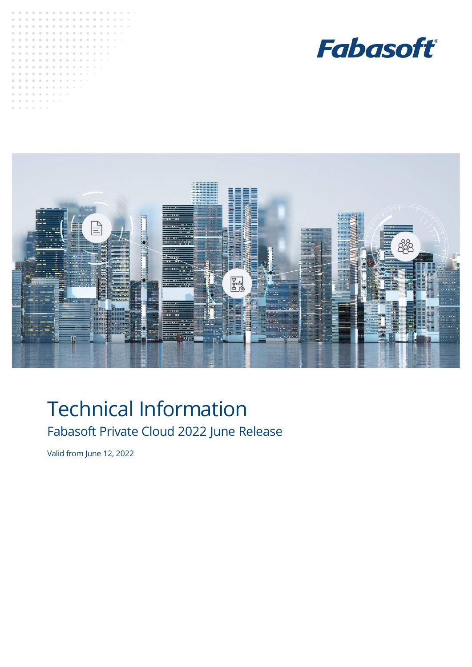





# Technical Information Fabasoft Private Cloud 2022 June Release

Valid from June 12, 2022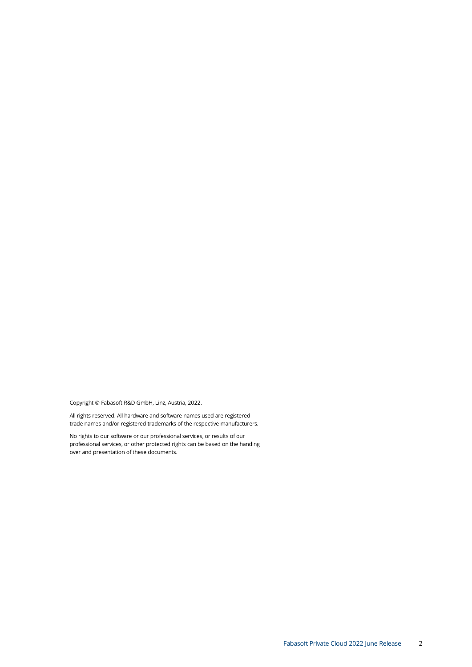Copyright © Fabasoft R&D GmbH, Linz, Austria, 2022.

All rights reserved. All hardware and software names used are registered trade names and/or registered trademarks of the respective manufacturers.

No rights to our software or our professional services, or results of our professional services, or other protected rights can be based on the handing over and presentation of these documents.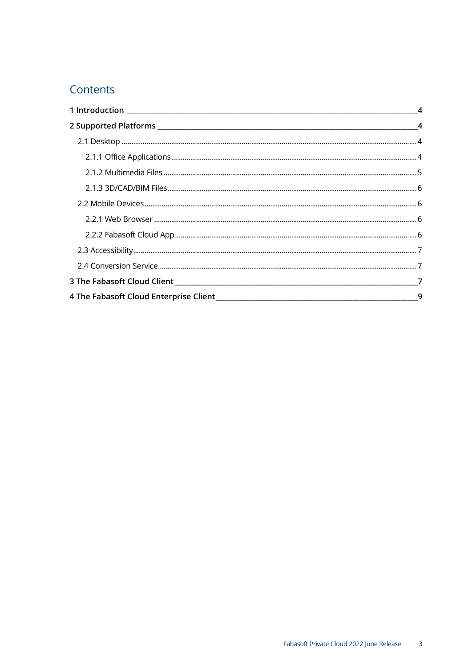# Contents

| $\overline{4}$ |
|----------------|
|                |
|                |
|                |
|                |
|                |
|                |
|                |
|                |
|                |
|                |
|                |
|                |
|                |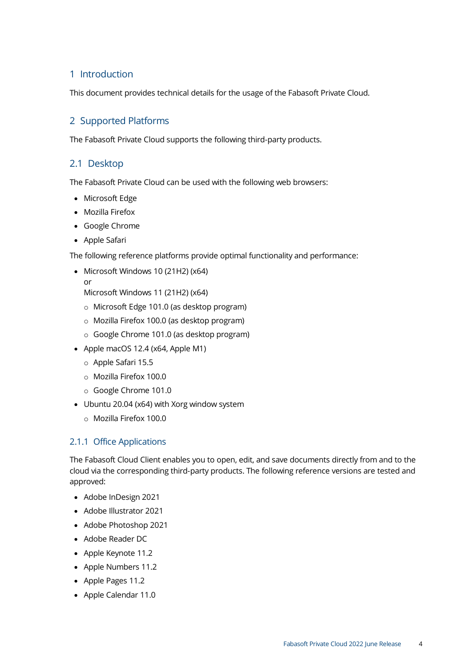# <span id="page-3-0"></span>1 Introduction

This document provides technical details for the usage of the Fabasoft Private Cloud.

# <span id="page-3-1"></span>2 Supported Platforms

The Fabasoft Private Cloud supports the following third-party products.

#### <span id="page-3-2"></span>2.1 Desktop

The Fabasoft Private Cloud can be used with the following web browsers:

- Microsoft Edge
- Mozilla Firefox
- Google Chrome
- Apple Safari

The following reference platforms provide optimal functionality and performance:

- Microsoft Windows 10 (21H2) (x64)
- or

Microsoft Windows 11 (21H2) (x64)

- o Microsoft Edge 101.0 (as desktop program)
- o Mozilla Firefox 100.0 (as desktop program)
- o Google Chrome 101.0 (as desktop program)
- Apple macOS 12.4 (x64, Apple M1)
	- o Apple Safari 15.5
	- o Mozilla Firefox 100.0
	- o Google Chrome 101.0
- Ubuntu 20.04 (x64) with Xorg window system
	- o Mozilla Firefox 100.0

#### <span id="page-3-3"></span>2.1.1 Office Applications

The Fabasoft Cloud Client enables you to open, edit, and save documents directly from and to the cloud via the corresponding third-party products. The following reference versions are tested and approved:

- Adobe InDesign 2021
- Adobe Illustrator 2021
- Adobe Photoshop 2021
- Adobe Reader DC
- Apple Keynote 11.2
- Apple Numbers 11.2
- Apple Pages 11.2
- Apple Calendar 11.0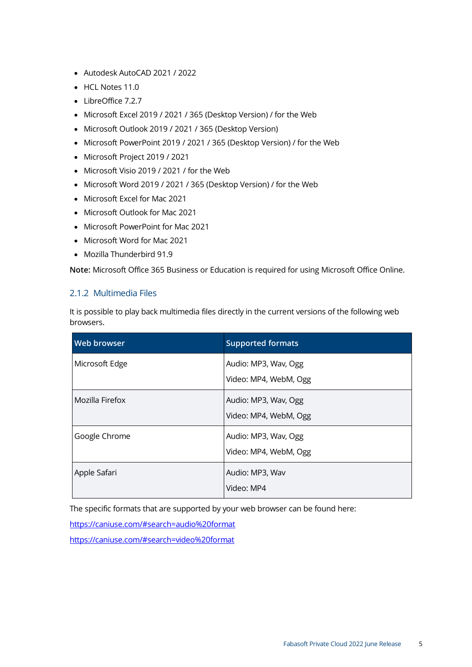- Autodesk AutoCAD 2021 / 2022
- HCL Notes 11.0
- LibreOffice 7.2.7
- Microsoft Excel 2019 / 2021 / 365 (Desktop Version) / for the Web
- Microsoft Outlook 2019 / 2021 / 365 (Desktop Version)
- Microsoft PowerPoint 2019 / 2021 / 365 (Desktop Version) / for the Web
- Microsoft Project 2019 / 2021
- Microsoft Visio 2019 / 2021 / for the Web
- Microsoft Word 2019 / 2021 / 365 (Desktop Version) / for the Web
- Microsoft Excel for Mac 2021
- Microsoft Outlook for Mac 2021
- Microsoft PowerPoint for Mac 2021
- Microsoft Word for Mac 2021
- Mozilla Thunderbird 91.9

**Note:** Microsoft Office 365 Business or Education is required for using Microsoft Office Online.

#### <span id="page-4-0"></span>2.1.2 Multimedia Files

It is possible to play back multimedia files directly in the current versions of the following web browsers.

| Web browser     | <b>Supported formats</b>                      |
|-----------------|-----------------------------------------------|
| Microsoft Edge  | Audio: MP3, Wav, Ogg<br>Video: MP4, WebM, Ogg |
| Mozilla Firefox | Audio: MP3, Wav, Ogg<br>Video: MP4, WebM, Ogg |
| Google Chrome   | Audio: MP3, Wav, Ogg<br>Video: MP4, WebM, Ogg |
| Apple Safari    | Audio: MP3, Wav<br>Video: MP4                 |

The specific formats that are supported by your web browser can be found here:

<https://caniuse.com/#search=audio%20format>

<https://caniuse.com/#search=video%20format>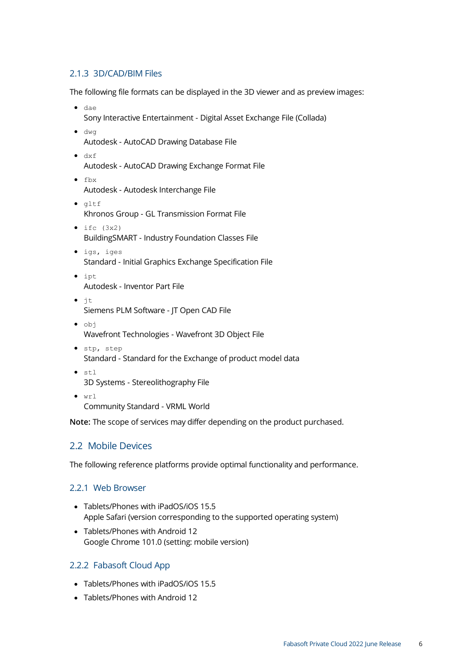#### <span id="page-5-0"></span>2.1.3 3D/CAD/BIM Files

The following file formats can be displayed in the 3D viewer and as preview images:

- dae Sony Interactive Entertainment - Digital Asset Exchange File (Collada)
- dwg Autodesk - AutoCAD Drawing Database File
- dxf
	- Autodesk AutoCAD Drawing Exchange Format File
- fbx Autodesk - Autodesk Interchange File
- gltf Khronos Group - GL Transmission Format File
- $\bullet$  ifc  $(3x2)$ BuildingSMART - Industry Foundation Classes File
- igs, iges Standard - Initial Graphics Exchange Specification File
- ipt Autodesk - Inventor Part File
- jt Siemens PLM Software - JT Open CAD File
- obj Wavefront Technologies - Wavefront 3D Object File
- stp, step Standard - Standard for the Exchange of product model data
- stl 3D Systems - Stereolithography File
- $\bullet$  wrl Community Standard - VRML World

**Note:** The scope of services may differ depending on the product purchased.

#### <span id="page-5-1"></span>2.2 Mobile Devices

The following reference platforms provide optimal functionality and performance.

#### <span id="page-5-2"></span>2.2.1 Web Browser

- Tablets/Phones with iPadOS/iOS 15.5 Apple Safari (version corresponding to the supported operating system)
- Tablets/Phones with Android 12 Google Chrome 101.0 (setting: mobile version)

#### <span id="page-5-3"></span>2.2.2 Fabasoft Cloud App

- Tablets/Phones with iPadOS/iOS 15.5
- Tablets/Phones with Android 12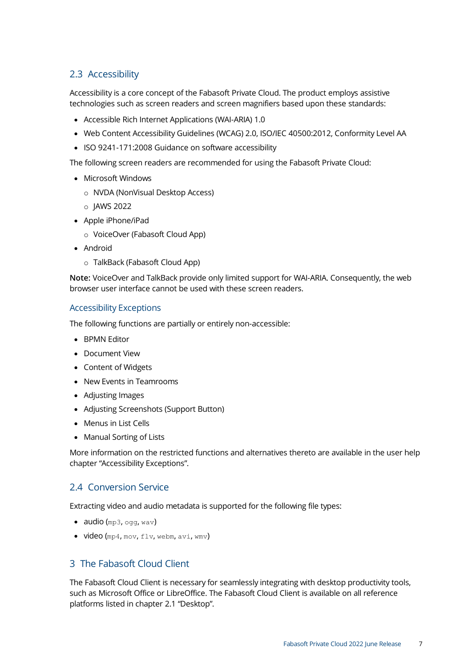# <span id="page-6-0"></span>2.3 Accessibility

Accessibility is a core concept of the Fabasoft Private Cloud. The product employs assistive technologies such as screen readers and screen magnifiers based upon these standards:

- Accessible Rich Internet Applications (WAI-ARIA) 1.0
- Web Content Accessibility Guidelines (WCAG) 2.0, ISO/IEC 40500:2012, Conformity Level AA
- ISO 9241-171:2008 Guidance on software accessibility

The following screen readers are recommended for using the Fabasoft Private Cloud:

- Microsoft Windows
	- o NVDA (NonVisual Desktop Access)
	- o JAWS 2022
- Apple iPhone/iPad
	- o VoiceOver (Fabasoft Cloud App)
- Android
	- o TalkBack (Fabasoft Cloud App)

**Note:** VoiceOver and TalkBack provide only limited support for WAI-ARIA. Consequently, the web browser user interface cannot be used with these screen readers.

#### Accessibility Exceptions

The following functions are partially or entirely non-accessible:

- BPMN Editor
- Document View
- Content of Widgets
- New Events in Teamrooms
- Adjusting Images
- Adjusting Screenshots (Support Button)
- Menus in List Cells
- Manual Sorting of Lists

More information on the restricted functions and alternatives thereto are available in the user help chapter "Accessibility Exceptions".

#### <span id="page-6-1"></span>2.4 Conversion Service

Extracting video and audio metadata is supported for the following file types:

- audio  $(mp3, oqq, wav)$
- <span id="page-6-2"></span>• video (mp4, mov, flv, webm, avi, wmv)

#### 3 The Fabasoft Cloud Client

The Fabasoft Cloud Client is necessary for seamlessly integrating with desktop productivity tools, such as Microsoft Office or LibreOffice. The Fabasoft Cloud Client is available on all reference platforms listed in chapter [2.1](#page-3-2) "[Desktop](#page-3-2)".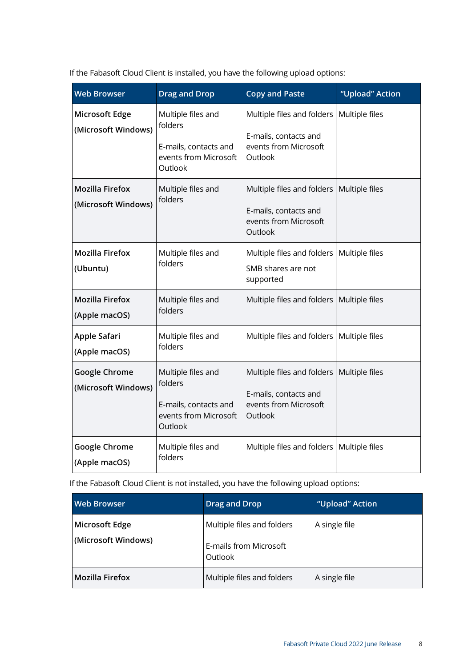If the Fabasoft Cloud Client is installed, you have the following upload options:

| <b>Web Browser</b>                            | <b>Drag and Drop</b>                                                                       | <b>Copy and Paste</b>                                                                   | "Upload" Action |
|-----------------------------------------------|--------------------------------------------------------------------------------------------|-----------------------------------------------------------------------------------------|-----------------|
| Microsoft Edge<br>(Microsoft Windows)         | Multiple files and<br>folders<br>E-mails, contacts and<br>events from Microsoft<br>Outlook | Multiple files and folders<br>E-mails, contacts and<br>events from Microsoft<br>Outlook | Multiple files  |
| <b>Mozilla Firefox</b><br>(Microsoft Windows) | Multiple files and<br>folders                                                              | Multiple files and folders<br>E-mails, contacts and<br>events from Microsoft<br>Outlook | Multiple files  |
| <b>Mozilla Firefox</b><br>(Ubuntu)            | Multiple files and<br>folders                                                              | Multiple files and folders<br>SMB shares are not<br>supported                           | Multiple files  |
| <b>Mozilla Firefox</b><br>(Apple macOS)       | Multiple files and<br>folders                                                              | Multiple files and folders                                                              | Multiple files  |
| Apple Safari<br>(Apple macOS)                 | Multiple files and<br>folders                                                              | Multiple files and folders                                                              | Multiple files  |
| <b>Google Chrome</b><br>(Microsoft Windows)   | Multiple files and<br>folders<br>E-mails, contacts and<br>events from Microsoft<br>Outlook | Multiple files and folders<br>E-mails, contacts and<br>events from Microsoft<br>Outlook | Multiple files  |
| <b>Google Chrome</b><br>(Apple macOS)         | Multiple files and<br>folders                                                              | Multiple files and folders                                                              | Multiple files  |

If the Fabasoft Cloud Client is not installed, you have the following upload options:

| <b>Web Browser</b>                    | <b>Drag and Drop</b>                                            | "Upload" Action |
|---------------------------------------|-----------------------------------------------------------------|-----------------|
| Microsoft Edge<br>(Microsoft Windows) | Multiple files and folders<br>E-mails from Microsoft<br>Outlook | A single file   |
| <b>Mozilla Firefox</b>                | Multiple files and folders                                      | A single file   |